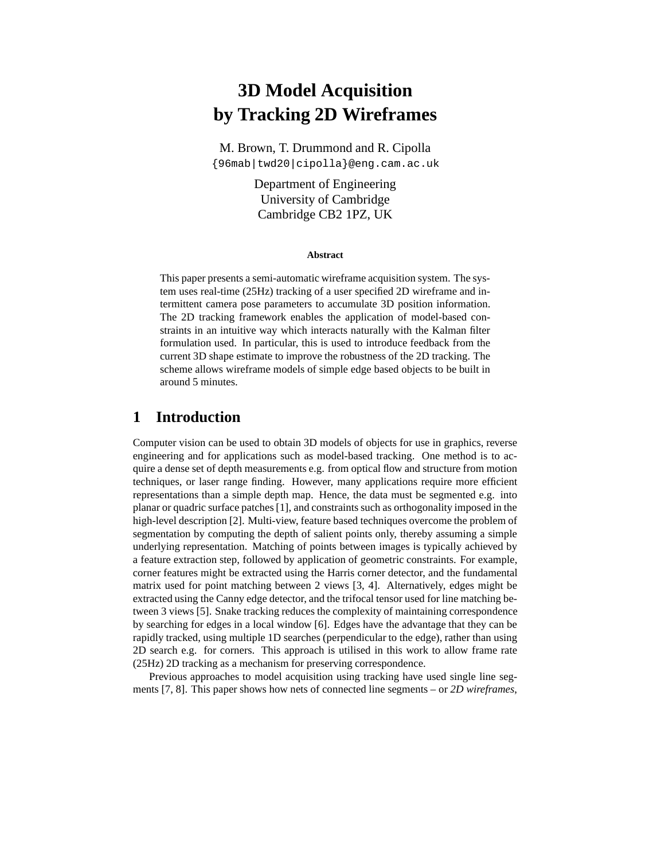# **3D Model Acquisition by Tracking 2D Wireframes**

M. Brown, T. Drummond and R. Cipolla {96mab|twd20|cipolla}@eng.cam.ac.uk

> Department of Engineering University of Cambridge Cambridge CB2 1PZ, UK

#### **Abstract**

This paper presents a semi-automatic wireframe acquisition system. The system uses real-time (25Hz) tracking of a user specified 2D wireframe and intermittent camera pose parameters to accumulate 3D position information. The 2D tracking framework enables the application of model-based constraints in an intuitive way which interacts naturally with the Kalman filter formulation used. In particular, this is used to introduce feedback from the current 3D shape estimate to improve the robustness of the 2D tracking. The scheme allows wireframe models of simple edge based objects to be built in around 5 minutes.

### **1 Introduction**

Computer vision can be used to obtain 3D models of objects for use in graphics, reverse engineering and for applications such as model-based tracking. One method is to acquire a dense set of depth measurements e.g. from optical flow and structure from motion techniques, or laser range finding. However, many applications require more efficient representations than a simple depth map. Hence, the data must be segmented e.g. into planar or quadric surface patches [1], and constraints such as orthogonality imposed in the high-level description [2]. Multi-view, feature based techniques overcome the problem of segmentation by computing the depth of salient points only, thereby assuming a simple underlying representation. Matching of points between images is typically achieved by a feature extraction step, followed by application of geometric constraints. For example, corner features might be extracted using the Harris corner detector, and the fundamental matrix used for point matching between 2 views [3, 4]. Alternatively, edges might be extracted using the Canny edge detector, and the trifocal tensor used for line matching between 3 views [5]. Snake tracking reduces the complexity of maintaining correspondence by searching for edges in a local window [6]. Edges have the advantage that they can be rapidly tracked, using multiple 1D searches (perpendicular to the edge), rather than using 2D search e.g. for corners. This approach is utilised in this work to allow frame rate (25Hz) 2D tracking as a mechanism for preserving correspondence.

Previous approaches to model acquisition using tracking have used single line segments [7, 8]. This paper shows how nets of connected line segments – or *2D wireframes*,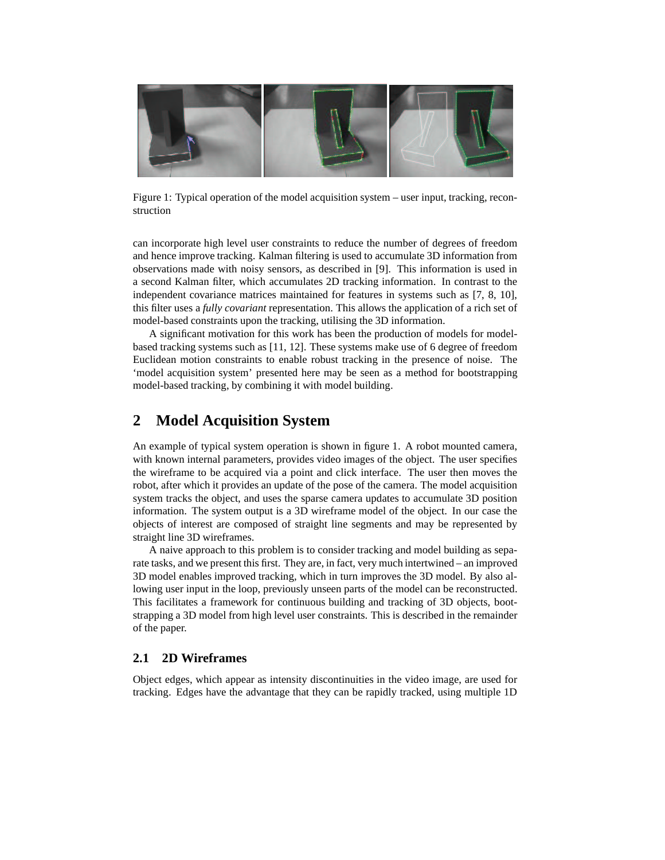

Figure 1: Typical operation of the model acquisition system – user input, tracking, reconstruction

can incorporate high level user constraints to reduce the number of degrees of freedom and hence improve tracking. Kalman filtering is used to accumulate 3D information from observations made with noisy sensors, as described in [9]. This information is used in a second Kalman filter, which accumulates 2D tracking information. In contrast to the independent covariance matrices maintained for features in systems such as [7, 8, 10], this filter uses a *fully covariant* representation. This allows the application of a rich set of model-based constraints upon the tracking, utilising the 3D information.

A significant motivation for this work has been the production of models for modelbased tracking systems such as [11, 12]. These systems make use of 6 degree of freedom Euclidean motion constraints to enable robust tracking in the presence of noise. The 'model acquisition system' presented here may be seen as a method for bootstrapping model-based tracking, by combining it with model building.

### **2 Model Acquisition System**

An example of typical system operation is shown in figure 1. A robot mounted camera, with known internal parameters, provides video images of the object. The user specifies the wireframe to be acquired via a point and click interface. The user then moves the robot, after which it provides an update of the pose of the camera. The model acquisition system tracks the object, and uses the sparse camera updates to accumulate 3D position information. The system output is a 3D wireframe model of the object. In our case the objects of interest are composed of straight line segments and may be represented by straight line 3D wireframes.

A naive approach to this problem is to consider tracking and model building as separate tasks, and we present this first. They are, in fact, very much intertwined – an improved 3D model enables improved tracking, which in turn improves the 3D model. By also allowing user input in the loop, previously unseen parts of the model can be reconstructed. This facilitates a framework for continuous building and tracking of 3D objects, bootstrapping a 3D model from high level user constraints. This is described in the remainder of the paper.

#### **2.1 2D Wireframes**

Object edges, which appear as intensity discontinuities in the video image, are used for tracking. Edges have the advantage that they can be rapidly tracked, using multiple 1D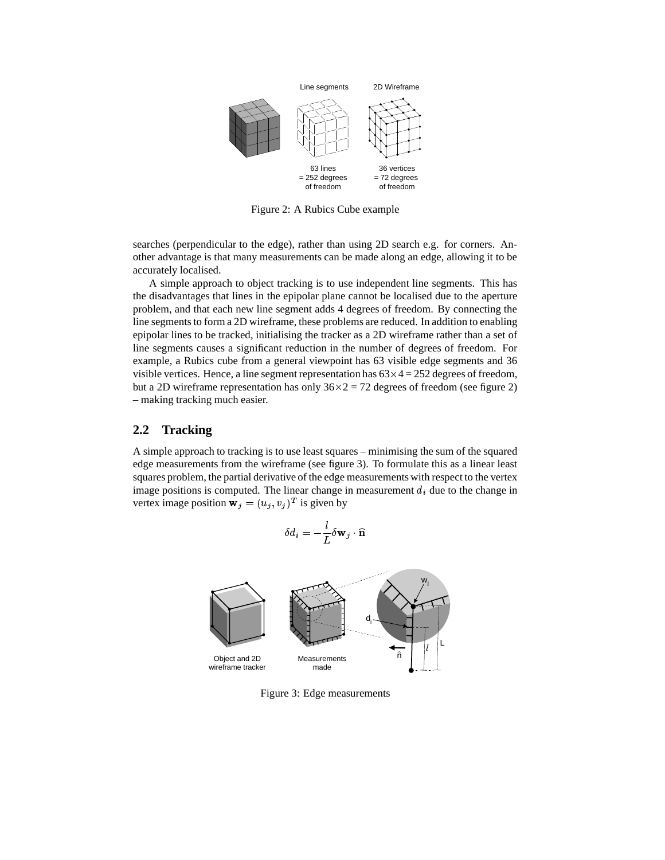

Figure 2: A Rubics Cube example

searches (perpendicular to the edge), rather than using 2D search e.g. for corners. Another advantage is that many measurements can be made along an edge, allowing it to be accurately localised.

A simple approach to object tracking is to use independent line segments. This has the disadvantages that lines in the epipolar plane cannot be localised due to the aperture problem, and that each new line segment adds 4 degrees of freedom. By connecting the line segments to form a 2D wireframe, these problems are reduced. In addition to enabling epipolar lines to be tracked, initialising the tracker as a 2D wireframe rather than a set of line segments causes a significant reduction in the number of degrees of freedom. For example, a Rubics cube from a general viewpoint has 63 visible edge segments and 36 visible vertices. Hence, a line segment representation has  $63 \times 4 = 252$  degrees of freedom, but a 2D wireframe representation has only  $36 \times 2 = 72$  degrees of freedom (see figure 2) – making tracking much easier.

#### **2.2 Tracking**

A simple approach to tracking is to use least squares – minimising the sum of the squared edge measurements from the wireframe (see figure 3). To formulate this as a linear least squares problem, the partial derivative of the edge measurements with respect to the vertex image positions is computed. The linear change in measurement  $d_i$  due to the change in vertex image position  $\mathbf{w}_j = (u_j, v_j)^T$  is given by

$$
\delta d_i = -\frac{l}{L} \delta {\bf w}_j \cdot \widehat{\bf n}
$$



Figure 3: Edge measurements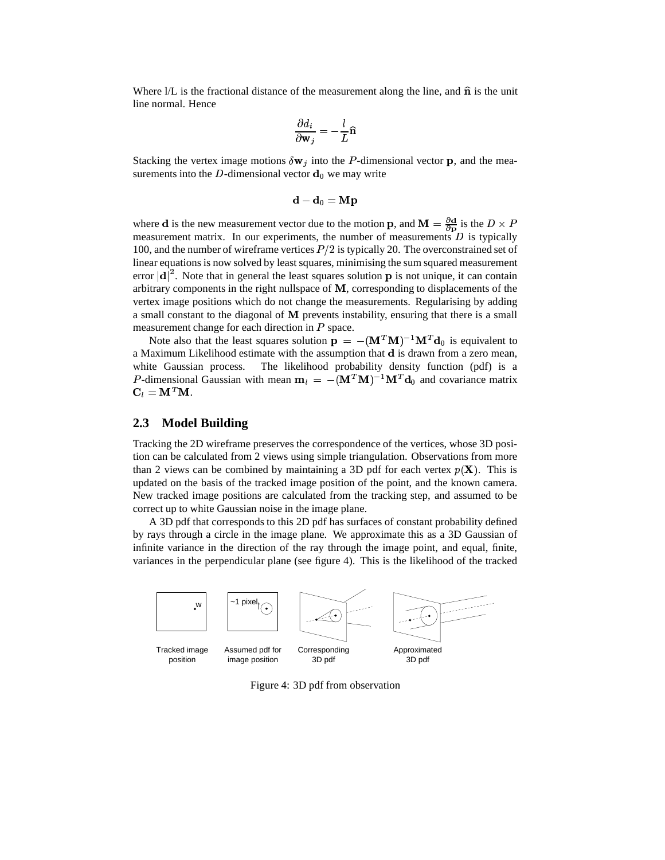Where  $1/L$  is the fractional distance of the measurement along the line, and  $\hat{\bf n}$  is the unit line normal. Hence

$$
\frac{\partial d_i}{\partial \mathbf{w}_j} = -\frac{l}{L}\mathbf{\widehat{n}}
$$

Stacking the vertex image motions  $\delta \mathbf{w}_i$  into the P-dimensional vector **p**, and the measurements into the D-dimensional vector  $\mathbf{d}_0$  we may write

$$
\mathbf{d} - \mathbf{d}_0 = \mathbf{M} \mathbf{p}
$$

where **d** is the new measurement vector due to the motion **p**, and  $\mathbf{M} = \frac{\partial \mathbf{d}}{\partial \mathbf{p}}$  is the  $D \times P$ measurement matrix. In our experiments, the number of measurements  $D$  is typically 100, and the number of wireframe vertices  $P/2$  is typically 20. The overconstrained set of linear equations is now solved by least squares, minimising the sum squared measurement error  $|\mathbf{d}|^2$ . Note that in general the least squares solution **p** is not unique, it can contain arbitrary components in the right nullspace of  $M$ , corresponding to displacements of the vertex image positions which do not change the measurements. Regularising by adding a small constant to the diagonal of  **prevents instability, ensuring that there is a small** measurement change for each direction in  $P$  space.

Note also that the least squares solution  $\mathbf{p} = -(\mathbf{M}^T \mathbf{M})^{-1} \mathbf{M}^T \mathbf{d}_0$  is equivalent to a Maximum Likelihood estimate with the assumption that  $d$  is drawn from a zero mean, white Gaussian process. The likelihood probability density function (pdf) is a P-dimensional Gaussian with mean  $\mathbf{m}_l = -(\mathbf{M}^T \mathbf{M})^{-1} \mathbf{M}^T \mathbf{d}_0$  and covariance matrix  $\mathbf{C}_l = \mathbf{M}^T \mathbf{M}.$ 

### **2.3 Model Building**

Tracking the 2D wireframe preserves the correspondence of the vertices, whose 3D position can be calculated from 2 views using simple triangulation. Observations from more than 2 views can be combined by maintaining a 3D pdf for each vertex  $p(\mathbf{X})$ . This is updated on the basis of the tracked image position of the point, and the known camera. New tracked image positions are calculated from the tracking step, and assumed to be correct up to white Gaussian noise in the image plane.

A 3D pdf that corresponds to this 2D pdf has surfaces of constant probability defined by rays through a circle in the image plane. We approximate this as a 3D Gaussian of infinite variance in the direction of the ray through the image point, and equal, finite, variances in the perpendicular plane (see figure 4). This is the likelihood of the tracked



Figure 4: 3D pdf from observation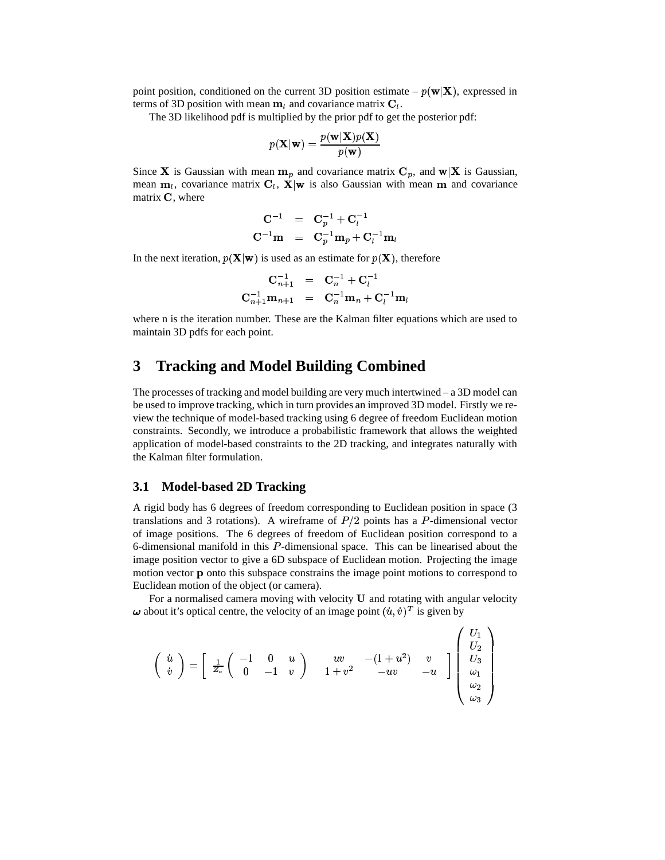point position, conditioned on the current 3D position estimate –  $p(\mathbf{w}|\mathbf{X})$ , expressed in terms of 3D position with mean  $m_l$  and covariance matrix  $C_l$ .

The 3D likelihood pdf is multiplied by the prior pdf to get the posterior pdf:

$$
p(\mathbf{X}|\mathbf{w}) = \frac{p(\mathbf{w}|\mathbf{X})p(\mathbf{X})}{p(\mathbf{w})}
$$

Since **X** is Gaussian with mean  $m_p$  and covariance matrix  $C_p$ , and  $w|X$  is Gaussian, mean  $m_l$ , covariance matrix  $C_l$ ,  $X|w$  is also Gaussian with mean m and covariance matrix  $\bf{C}$ , where

$$
\begin{array}{ccl} \mathbf{C}^{-1} & = & \mathbf{C}_p^{-1} + \mathbf{C}_l^{-1} \\ \mathbf{C}^{-1} \mathbf{m} & = & \mathbf{C}_p^{-1} \mathbf{m}_p + \mathbf{C}_l^{-1} \mathbf{m}_l \end{array}
$$

In the next iteration,  $p(\mathbf{X}|\mathbf{w})$  is used as an estimate for  $p(\mathbf{X})$ , therefore

$$
\begin{array}{ccc} \mathbf{C}_{n+1}^{-1} & = & \mathbf{C}_{n}^{-1} + \mathbf{C}_{l}^{-1} \\ \mathbf{C}_{n+1}^{-1} \mathbf{m}_{n+1} & = & \mathbf{C}_{n}^{-1} \mathbf{m}_{n} + \mathbf{C}_{l}^{-1} \mathbf{m}_{l} \end{array}
$$

where n is the iteration number. These are the Kalman filter equations which are used to maintain 3D pdfs for each point.

# **3 Tracking and Model Building Combined**

The processes of tracking and model building are very much intertwined – a 3D model can be used to improve tracking, which in turn provides an improved 3D model. Firstly we review the technique of model-based tracking using 6 degree of freedom Euclidean motion constraints. Secondly, we introduce a probabilistic framework that allows the weighted application of model-based constraints to the 2D tracking, and integrates naturally with the Kalman filter formulation.

#### **3.1 Model-based 2D Tracking**

A rigid body has 6 degrees of freedom corresponding to Euclidean position in space (3 translations and 3 rotations). A wireframe of  $P/2$  points has a P-dimensional vector of image positions. The 6 degrees of freedom of Euclidean position correspond to a 6-dimensional manifold in this *-dimensional space. This can be linearised about the* image position vector to give a 6D subspace of Euclidean motion. Projecting the image motion vector **p** onto this subspace constrains the image point motions to correspond to Euclidean motion of the object (or camera).

For a normalised camera moving with velocity  **and rotating with angular velocity**  $\omega$  about it's optical centre, the velocity of an image point  $(u, v)^T$  is given by

 $\sim$   $\sim$ 

$$
\left(\begin{array}{c} \dot{u} \\ \dot{v} \end{array}\right) = \left[\begin{array}{ccc} \frac{1}{Z_c} \left(\begin{array}{ccc} -1 & 0 & u \\ 0 & -1 & v \end{array}\right) & \begin{array}{ccc} uv & -(1+u^2) & v \\ 1+v^2 & -uv & -u \end{array}\right] \left(\begin{array}{c} U_1 \\ U_2 \\ U_3 \\ \omega_1 \\ \omega_2 \\ \omega_3 \end{array}\right)
$$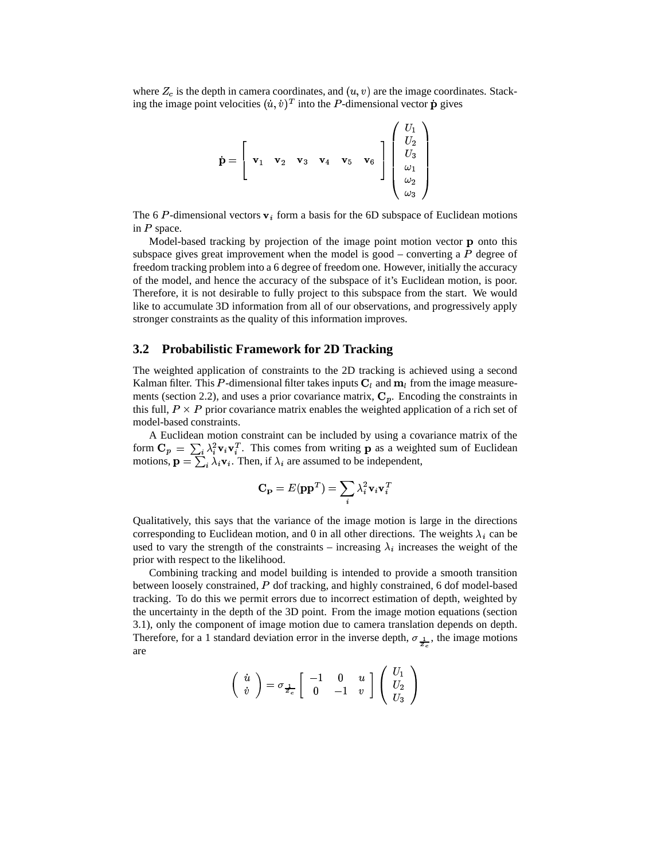where  $Z_c$  is the depth in camera coordinates, and  $(u, v)$  are the image coordinates. Stacking the image point velocities  $(u, v)^T$  into the P-dimensional vector **p** gives

$$
\dot{\mathbf{p}} = \begin{bmatrix} \mathbf{v}_1 & \mathbf{v}_2 & \mathbf{v}_3 & \mathbf{v}_4 & \mathbf{v}_5 & \mathbf{v}_6 \\ \mathbf{v}_1 & \mathbf{v}_2 & \mathbf{v}_3 & \mathbf{v}_4 & \mathbf{v}_5 & \mathbf{v}_6 \\ \vdots & \vdots & \ddots & \vdots \\ \vdots & \vdots & \ddots & \vdots \\ \vdots & \vdots & \ddots & \vdots \\ \vdots & \vdots & \ddots & \vdots \\ \vdots & \vdots & \ddots & \vdots \\ \vdots & \vdots & \ddots & \vdots \\ \vdots & \vdots & \ddots & \vdots \\ \vdots & \vdots & \ddots & \vdots \\ \vdots & \vdots & \ddots & \vdots \\ \vdots & \vdots & \ddots & \vdots \\ \vdots & \vdots & \ddots & \vdots \\ \vdots & \vdots & \ddots & \vdots \\ \vdots & \vdots & \ddots & \vdots \\ \vdots & \vdots & \ddots & \vdots \\ \vdots & \vdots & \ddots & \vdots \\ \vdots & \vdots & \ddots & \vdots \\ \vdots & \vdots & \ddots & \vdots \\ \vdots & \vdots & \ddots & \vdots \\ \vdots & \vdots & \ddots & \vdots \\ \vdots & \vdots & \ddots & \vdots \\ \vdots & \vdots & \ddots & \vdots \\ \vdots & \vdots & \ddots & \vdots \\ \vdots & \vdots & \ddots & \vdots \\ \vdots & \vdots & \ddots & \vdots \\ \vdots & \vdots & \vdots & \ddots \\ \vdots & \vdots & \vdots & \ddots \\ \vdots & \vdots & \vdots & \ddots \\ \vdots & \vdots & \vdots & \vdots \\ \vdots & \vdots & \vdots & \vdots \\ \vdots & \vdots & \vdots & \vdots \\ \vdots & \vdots & \vdots & \vdots \\ \vdots & \vdots & \vdots & \vdots \\ \vdots & \vdots & \vdots & \vdots \\ \vdots & \vdots & \vdots & \vdots \\ \vdots & \vdots & \vdots & \vdots \\ \vdots & \vdots & \vdots & \vdots \\ \vdots & \vdots & \vdots & \vdots \\ \vdots & \vdots & \vdots & \vdots \\ \vdots & \vdots & \vdots & \vdots \\ \vdots & \vdots & \vdots & \vdots \\ \vdots & \vdots & \
$$

The 6 *P*-dimensional vectors  $\mathbf{v}_i$  form a basis for the 6D subspace of Eu  $i$  form a basis for the 6D subspace of Euclidean motions in  $P$  space.

Model-based tracking by projection of the image point motion vector  $\bf{p}$  onto this subspace gives great improvement when the model is good – converting a  $P$  degree of freedom tracking problem into a 6 degree of freedom one. However, initially the accuracy of the model, and hence the accuracy of the subspace of it's Euclidean motion, is poor. Therefore, it is not desirable to fully project to this subspace from the start. We would like to accumulate 3D information from all of our observations, and progressively apply stronger constraints as the quality of this information improves.

#### **3.2 Probabilistic Framework for 2D Tracking**

The weighted application of constraints to the 2D tracking is achieved using a second Kalman filter. This P-dimensional filter takes inputs  $C_l$  and  $m_l$  from the image measurements (section 2.2), and uses a prior covariance matrix,  $C_p$ . Encoding the constraints in this full,  $P \times P$  prior covariance matrix enables the weighted application of a rich set of model-based constraints.

A Euclidean motion constraint can be included by using a covariance matrix of the form  $C_p = \sum_i \lambda_i^2 \mathbf{v}_i \mathbf{v}_i^T$ . This comes from writing **p** as a weighted sum of Euclidean form  $\mathbf{C}_p = \sum_i \lambda_i^2 \mathbf{v}_i \mathbf{v}_i^T$ . This comes from writing **p** as a weigh motions,  $\mathbf{p} = \sum_i \lambda_i \mathbf{v}_i$ . Then, if  $\lambda_i$  are assumed to be independent,

$$
\mathbf{C}_{\mathbf{p}}=E(\mathbf{p}\mathbf{p}^{T})=\sum_{i}\lambda_{i}^{2}\mathbf{v}_{i}\mathbf{v}_{i}^{T}
$$

Qualitatively, this says that the variance of the image motion is large in the directions corresponding to Euclidean motion, and 0 in all other directions. The weights  $\lambda_i$  can be used to vary the strength of the constraints – increasing  $\lambda_i$  increases the weight of the prior with respect to the likelihood.

Combining tracking and model building is intended to provide a smooth transition between loosely constrained, P dof tracking, and highly constrained, 6 dof model-based tracking. To do this we permit errors due to incorrect estimation of depth, weighted by the uncertainty in the depth of the 3D point. From the image motion equations (section 3.1), only the component of image motion due to camera translation depends on depth. Therefore, for a 1 standard deviation error in the inverse depth,  $\sigma_{\frac{1}{2}}$ , the image motions are

$$
\left(\begin{array}{c} \dot u \\ \dot v \end{array}\right)=\sigma_{\frac{1}{Z_c}}\left[\begin{array}{cc} -1 & 0 & u \\ 0 & -1 & v \end{array}\right]\left(\begin{array}{c} U_1 \\ U_2 \\ U_3 \end{array}\right)
$$

#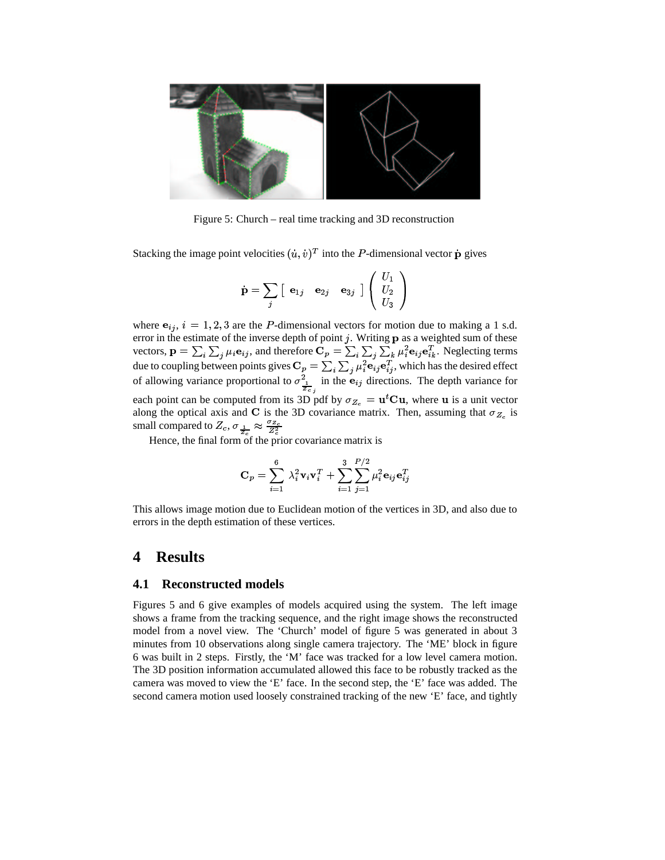

Figure 5: Church – real time tracking and 3D reconstruction

Stacking the image point velocities  $(\dot{u}, \dot{v})^T$  into the P-dimensional vector p gives

$$
\dot{\textbf{p}} = \sum_j \left[ \begin{array}{cc} \textbf{e}_{1j} & \textbf{e}_{2j} & \textbf{e}_{3j} \end{array} \right] \left( \begin{array}{c} U_1 \\ U_2 \\ U_3 \end{array} \right)
$$

where  $e_{ij}$ ,  $i = 1, 2, 3$  are the *P*-dimensional vectors for motion due to making a 1 s.d. error in the estimate of the inverse depth of point j. Writing  $\bf{p}$  as a weighted sum of these error in the estimate of the inverse depth of point *j*. Writing **p** as a weighted sum of these vectors,  $\mathbf{p} = \sum_i \sum_j \mu_i \mathbf{e}_{ij}$ , and therefore  $\mathbf{C}_p = \sum_i \sum_j \sum_k \mu_i^2 \mathbf{e}_{ij} \mathbf{e}_{ik}^T$ . Neglecting terms due to coupling between points gives  $C_p = \sum_i \sum_j \mu_i^2 \mathbf{e}_{ij} \mathbf{e}_{ij}^T$ , which has the desired effect of allowing variance proportional to  $\sigma_{\perp}^2$  in the  $\epsilon$  $\frac{\partial \rho}{\partial t} = \sum_i \sum_j \mu_i \, \text{e}_{ij} \, \text{e}_{ij}$  in the  $\mathbf{e}_{ij}$  directions. The depth variance for each point can be computed from its 3D pdf by  $\sigma_{Z_c} = \mathbf{u}^t \mathbf{C} \mathbf{u}$ , where  $\mathbf{u}$  is a unit vector along the optical axis and **C** is the 3D covariance matrix. Then, assuming that  $\sigma_{Z_c}$  is small compared to  $Z_c$ ,  $\sigma_{\frac{1}{2}} \approx \frac{\sigma_{Z_c}}{Z^2}$ 

Hence, the final form of the prior covariance matrix is

$$
\mathbf{C}_p = \sum_{i=1}^6 \; \lambda_i^2 \mathbf{v}_i \mathbf{v}_i^T + \sum_{i=1}^3 \sum_{j=1}^{P/2} \mu_i^2 \mathbf{e}_{ij} \mathbf{e}_{ij}^T
$$

This allows image motion due to Euclidean motion of the vertices in 3D, and also due to errors in the depth estimation of these vertices.

### **4 Results**

#### **4.1 Reconstructed models**

Figures 5 and 6 give examples of models acquired using the system. The left image shows a frame from the tracking sequence, and the right image shows the reconstructed model from a novel view. The 'Church' model of figure 5 was generated in about 3 minutes from 10 observations along single camera trajectory. The 'ME' block in figure 6 was built in 2 steps. Firstly, the 'M' face was tracked for a low level camera motion. The 3D position information accumulated allowed this face to be robustly tracked as the camera was moved to view the 'E' face. In the second step, the 'E' face was added. The second camera motion used loosely constrained tracking of the new 'E' face, and tightly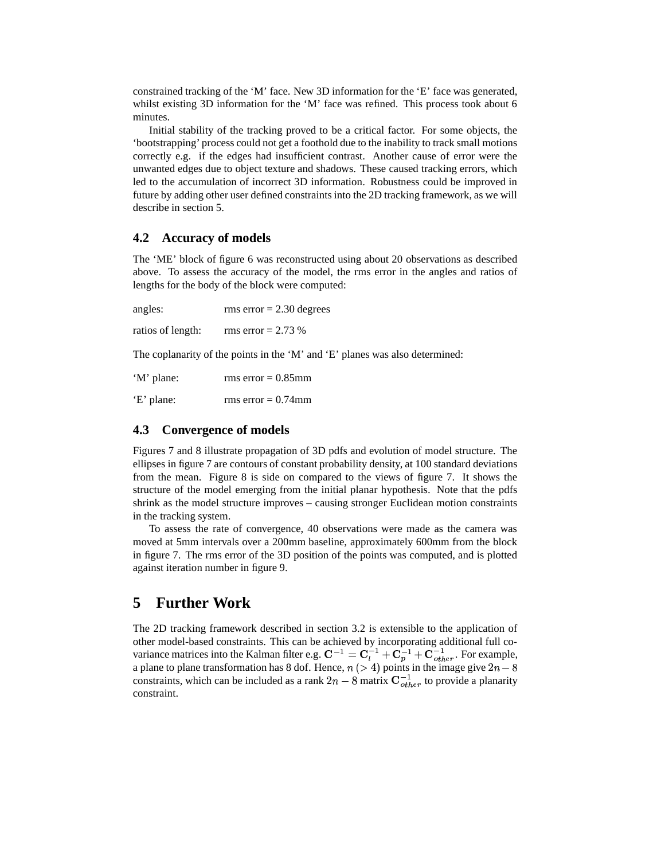constrained tracking of the 'M' face. New 3D information for the 'E' face was generated, whilst existing 3D information for the 'M' face was refined. This process took about 6 minutes.

Initial stability of the tracking proved to be a critical factor. For some objects, the 'bootstrapping' process could not get a foothold due to the inability to track small motions correctly e.g. if the edges had insufficient contrast. Another cause of error were the unwanted edges due to object texture and shadows. These caused tracking errors, which led to the accumulation of incorrect 3D information. Robustness could be improved in future by adding other user defined constraints into the 2D tracking framework, as we will describe in section 5.

#### **4.2 Accuracy of models**

The 'ME' block of figure 6 was reconstructed using about 20 observations as described above. To assess the accuracy of the model, the rms error in the angles and ratios of lengths for the body of the block were computed:

| angles:           | rms error $= 2.30$ degrees |
|-------------------|----------------------------|
| ratios of length: | rms error = $2.73\%$       |
| $\sim$            | $\cdot$                    |

The coplanarity of the points in the 'M' and 'E' planes was also determined:

| 'M' plane: | rms error = $0.85$ mm |
|------------|-----------------------|
| 'E' plane: | rms error = $0.74$ mm |

#### **4.3 Convergence of models**

Figures 7 and 8 illustrate propagation of 3D pdfs and evolution of model structure. The ellipses in figure 7 are contours of constant probability density, at 100 standard deviations from the mean. Figure 8 is side on compared to the views of figure 7. It shows the structure of the model emerging from the initial planar hypothesis. Note that the pdfs shrink as the model structure improves – causing stronger Euclidean motion constraints in the tracking system.

To assess the rate of convergence, 40 observations were made as the camera was moved at 5mm intervals over a 200mm baseline, approximately 600mm from the block in figure 7. The rms error of the 3D position of the points was computed, and is plotted against iteration number in figure 9.

# **5 Further Work**

The 2D tracking framework described in section 3.2 is extensible to the application of other model-based constraints. This can be achieved by incorporating additional full covariance matrices into the Kalman filter e.g.  $\mathbf{C}^{-1} = \mathbf{C}_{l}^{-1} + \mathbf{C}_{p}^{-1} + \mathbf{C}_{other}^{-1}$ . For example, a plane to plane transformation has 8 dof. Hence,  $n (> 4)$  points in the image give  $2n - 8$ constraints, which can be included as a rank  $2n-8$  matrix  $\mathbf{C}_{other}^{-1}$  to provide a planarity constraint.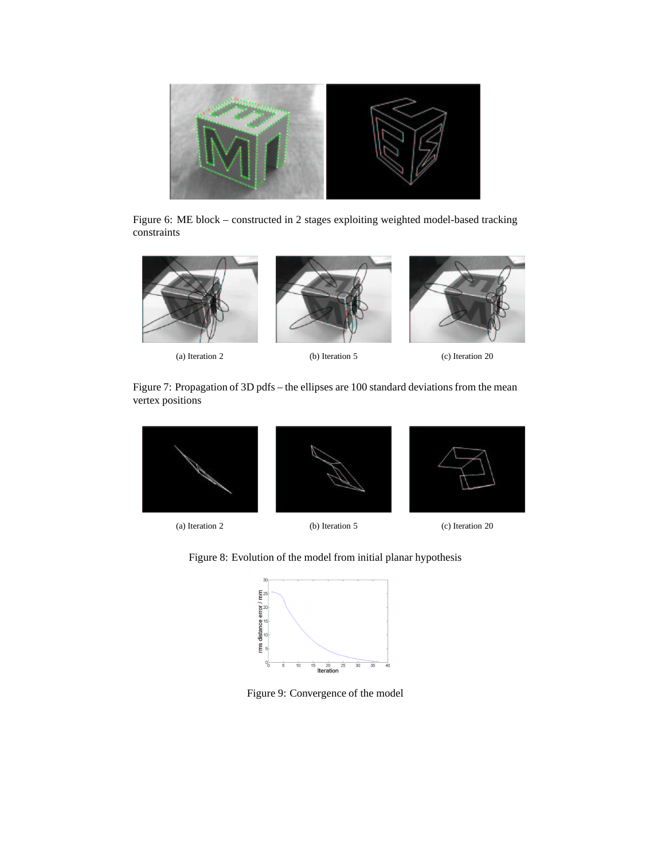

Figure 6: ME block – constructed in 2 stages exploiting weighted model-based tracking constraints



(a) Iteration 2 (b) Iteration 5 (c) Iteration 20

Figure 7: Propagation of 3D pdfs – the ellipses are 100 standard deviations from the mean vertex positions







(a) Iteration 2 (b) Iteration 5 (c) Iteration 20

Figure 8: Evolution of the model from initial planar hypothesis



Figure 9: Convergence of the model